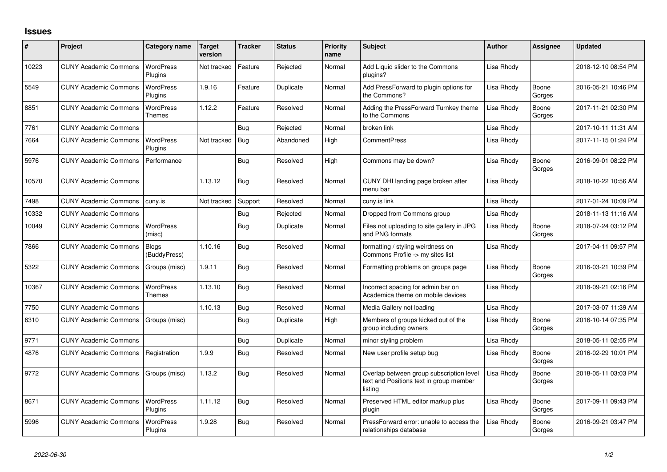## **Issues**

| #     | Project                      | Category name                | <b>Target</b><br>version | <b>Tracker</b> | <b>Status</b> | <b>Priority</b><br>name | <b>Subject</b>                                                                                 | <b>Author</b> | <b>Assignee</b> | <b>Updated</b>      |
|-------|------------------------------|------------------------------|--------------------------|----------------|---------------|-------------------------|------------------------------------------------------------------------------------------------|---------------|-----------------|---------------------|
| 10223 | <b>CUNY Academic Commons</b> | <b>WordPress</b><br>Plugins  | Not tracked              | Feature        | Rejected      | Normal                  | Add Liquid slider to the Commons<br>plugins?                                                   | Lisa Rhody    |                 | 2018-12-10 08:54 PM |
| 5549  | <b>CUNY Academic Commons</b> | <b>WordPress</b><br>Plugins  | 1.9.16                   | Feature        | Duplicate     | Normal                  | Add PressForward to plugin options for<br>the Commons?                                         | Lisa Rhody    | Boone<br>Gorges | 2016-05-21 10:46 PM |
| 8851  | <b>CUNY Academic Commons</b> | <b>WordPress</b><br>Themes   | 1.12.2                   | Feature        | Resolved      | Normal                  | Adding the PressForward Turnkey theme<br>to the Commons                                        | Lisa Rhody    | Boone<br>Gorges | 2017-11-21 02:30 PM |
| 7761  | <b>CUNY Academic Commons</b> |                              |                          | Bug            | Rejected      | Normal                  | broken link                                                                                    | Lisa Rhody    |                 | 2017-10-11 11:31 AM |
| 7664  | <b>CUNY Academic Commons</b> | <b>WordPress</b><br>Plugins  | Not tracked              | Bug            | Abandoned     | High                    | <b>CommentPress</b>                                                                            | Lisa Rhody    |                 | 2017-11-15 01:24 PM |
| 5976  | <b>CUNY Academic Commons</b> | Performance                  |                          | Bug            | Resolved      | High                    | Commons may be down?                                                                           | Lisa Rhody    | Boone<br>Gorges | 2016-09-01 08:22 PM |
| 10570 | <b>CUNY Academic Commons</b> |                              | 1.13.12                  | Bug            | Resolved      | Normal                  | CUNY DHI landing page broken after<br>menu bar                                                 | Lisa Rhody    |                 | 2018-10-22 10:56 AM |
| 7498  | <b>CUNY Academic Commons</b> | cuny.is                      | Not tracked              | Support        | Resolved      | Normal                  | cuny.is link                                                                                   | Lisa Rhody    |                 | 2017-01-24 10:09 PM |
| 10332 | <b>CUNY Academic Commons</b> |                              |                          | Bug            | Rejected      | Normal                  | Dropped from Commons group                                                                     | Lisa Rhody    |                 | 2018-11-13 11:16 AM |
| 10049 | <b>CUNY Academic Commons</b> | <b>WordPress</b><br>(misc)   |                          | <b>Bug</b>     | Duplicate     | Normal                  | Files not uploading to site gallery in JPG<br>and PNG formats                                  | Lisa Rhody    | Boone<br>Gorges | 2018-07-24 03:12 PM |
| 7866  | <b>CUNY Academic Commons</b> | <b>Blogs</b><br>(BuddyPress) | 1.10.16                  | Bug            | Resolved      | Normal                  | formatting / styling weirdness on<br>Commons Profile -> my sites list                          | Lisa Rhody    |                 | 2017-04-11 09:57 PM |
| 5322  | <b>CUNY Academic Commons</b> | Groups (misc)                | 1.9.11                   | Bug            | Resolved      | Normal                  | Formatting problems on groups page                                                             | Lisa Rhody    | Boone<br>Gorges | 2016-03-21 10:39 PM |
| 10367 | <b>CUNY Academic Commons</b> | WordPress<br><b>Themes</b>   | 1.13.10                  | <b>Bug</b>     | Resolved      | Normal                  | Incorrect spacing for admin bar on<br>Academica theme on mobile devices                        | Lisa Rhody    |                 | 2018-09-21 02:16 PM |
| 7750  | <b>CUNY Academic Commons</b> |                              | 1.10.13                  | Bug            | Resolved      | Normal                  | Media Gallery not loading                                                                      | Lisa Rhody    |                 | 2017-03-07 11:39 AM |
| 6310  | <b>CUNY Academic Commons</b> | Groups (misc)                |                          | <b>Bug</b>     | Duplicate     | High                    | Members of groups kicked out of the<br>group including owners                                  | Lisa Rhody    | Boone<br>Gorges | 2016-10-14 07:35 PM |
| 9771  | <b>CUNY Academic Commons</b> |                              |                          | Bug            | Duplicate     | Normal                  | minor styling problem                                                                          | Lisa Rhody    |                 | 2018-05-11 02:55 PM |
| 4876  | <b>CUNY Academic Commons</b> | Registration                 | 1.9.9                    | Bug            | Resolved      | Normal                  | New user profile setup bug                                                                     | Lisa Rhody    | Boone<br>Gorges | 2016-02-29 10:01 PM |
| 9772  | <b>CUNY Academic Commons</b> | Groups (misc)                | 1.13.2                   | Bug            | Resolved      | Normal                  | Overlap between group subscription level<br>text and Positions text in group member<br>listing | Lisa Rhody    | Boone<br>Gorges | 2018-05-11 03:03 PM |
| 8671  | <b>CUNY Academic Commons</b> | WordPress<br>Plugins         | 1.11.12                  | Bug            | Resolved      | Normal                  | Preserved HTML editor markup plus<br>plugin                                                    | Lisa Rhody    | Boone<br>Gorges | 2017-09-11 09:43 PM |
| 5996  | <b>CUNY Academic Commons</b> | <b>WordPress</b><br>Plugins  | 1.9.28                   | Bug            | Resolved      | Normal                  | PressForward error: unable to access the<br>relationships database                             | Lisa Rhody    | Boone<br>Gorges | 2016-09-21 03:47 PM |